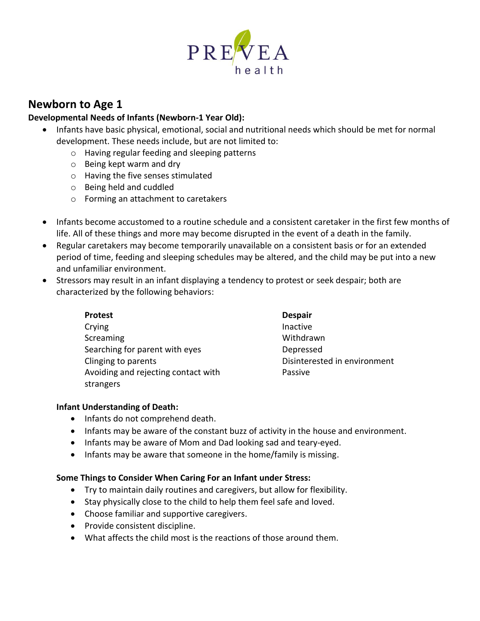

# **Newborn to Age 1**

### **Developmental Needs of Infants (Newborn-1 Year Old):**

- Infants have basic physical, emotional, social and nutritional needs which should be met for normal development. These needs include, but are not limited to:
	- o Having regular feeding and sleeping patterns
	- o Being kept warm and dry
	- o Having the five senses stimulated
	- o Being held and cuddled
	- o Forming an attachment to caretakers
- Infants become accustomed to a routine schedule and a consistent caretaker in the first few months of life. All of these things and more may become disrupted in the event of a death in the family.
- Regular caretakers may become temporarily unavailable on a consistent basis or for an extended period of time, feeding and sleeping schedules may be altered, and the child may be put into a new and unfamiliar environment.
- Stressors may result in an infant displaying a tendency to protest or seek despair; both are characterized by the following behaviors:

| <b>Protest</b>                                   | <b>Despair</b>               |
|--------------------------------------------------|------------------------------|
| Crying                                           | Inactive                     |
| Screaming                                        | Withdrawn                    |
| Searching for parent with eyes                   | Depressed                    |
| Clinging to parents                              | Disinterested in environment |
| Avoiding and rejecting contact with<br>strangers | Passive                      |
|                                                  |                              |

## **Infant Understanding of Death:**

- Infants do not comprehend death.
- Infants may be aware of the constant buzz of activity in the house and environment.
- Infants may be aware of Mom and Dad looking sad and teary-eyed.
- Infants may be aware that someone in the home/family is missing.

#### **Some Things to Consider When Caring For an Infant under Stress:**

- Try to maintain daily routines and caregivers, but allow for flexibility.
- Stay physically close to the child to help them feel safe and loved.
- Choose familiar and supportive caregivers.
- Provide consistent discipline.
- What affects the child most is the reactions of those around them.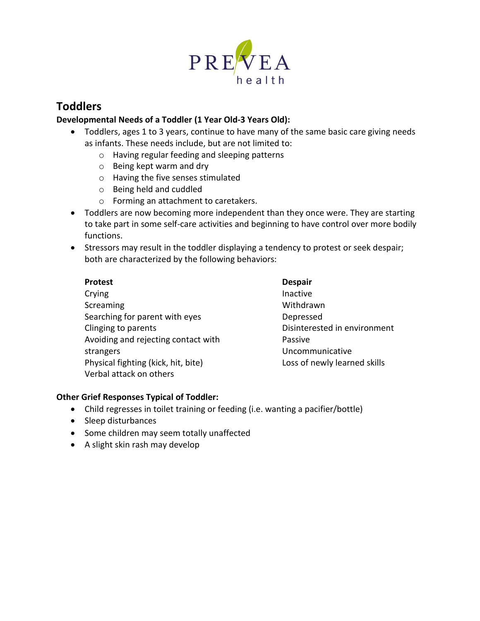

# **Toddlers**

# **Developmental Needs of a Toddler (1 Year Old-3 Years Old):**

- Toddlers, ages 1 to 3 years, continue to have many of the same basic care giving needs as infants. These needs include, but are not limited to:
	- o Having regular feeding and sleeping patterns
	- o Being kept warm and dry
	- o Having the five senses stimulated
	- o Being held and cuddled
	- o Forming an attachment to caretakers.
- Toddlers are now becoming more independent than they once were. They are starting to take part in some self-care activities and beginning to have control over more bodily functions.
- Stressors may result in the toddler displaying a tendency to protest or seek despair; both are characterized by the following behaviors:

#### **Protest**

**Crying Screaming** Searching for parent with eyes Clinging to parents Avoiding and rejecting contact with strangers Physical fighting (kick, hit, bite) Verbal attack on others

**Despair** Inactive Withdrawn Depressed Disinterested in environment Passive Uncommunicative Loss of newly learned skills

## **Other Grief Responses Typical of Toddler:**

- Child regresses in toilet training or feeding (i.e. wanting a pacifier/bottle)
- Sleep disturbances
- Some children may seem totally unaffected
- A slight skin rash may develop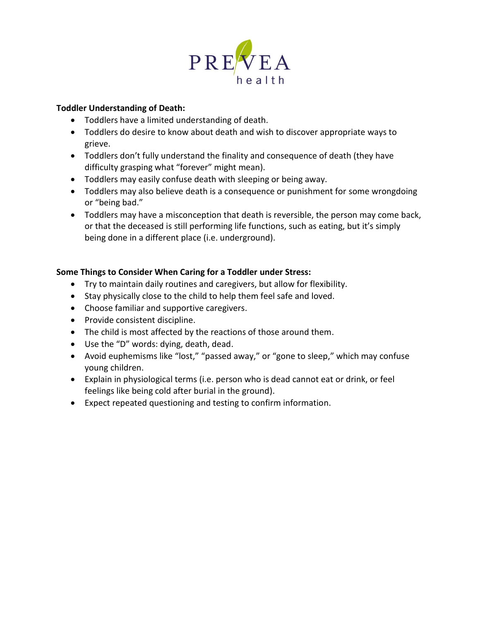

### **Toddler Understanding of Death:**

- Toddlers have a limited understanding of death.
- Toddlers do desire to know about death and wish to discover appropriate ways to grieve.
- Toddlers don't fully understand the finality and consequence of death (they have difficulty grasping what "forever" might mean).
- Toddlers may easily confuse death with sleeping or being away.
- Toddlers may also believe death is a consequence or punishment for some wrongdoing or "being bad."
- Toddlers may have a misconception that death is reversible, the person may come back, or that the deceased is still performing life functions, such as eating, but it's simply being done in a different place (i.e. underground).

## **Some Things to Consider When Caring for a Toddler under Stress:**

- Try to maintain daily routines and caregivers, but allow for flexibility.
- Stay physically close to the child to help them feel safe and loved.
- Choose familiar and supportive caregivers.
- Provide consistent discipline.
- The child is most affected by the reactions of those around them.
- Use the "D" words: dying, death, dead.
- Avoid euphemisms like "lost," "passed away," or "gone to sleep," which may confuse young children.
- Explain in physiological terms (i.e. person who is dead cannot eat or drink, or feel feelings like being cold after burial in the ground).
- Expect repeated questioning and testing to confirm information.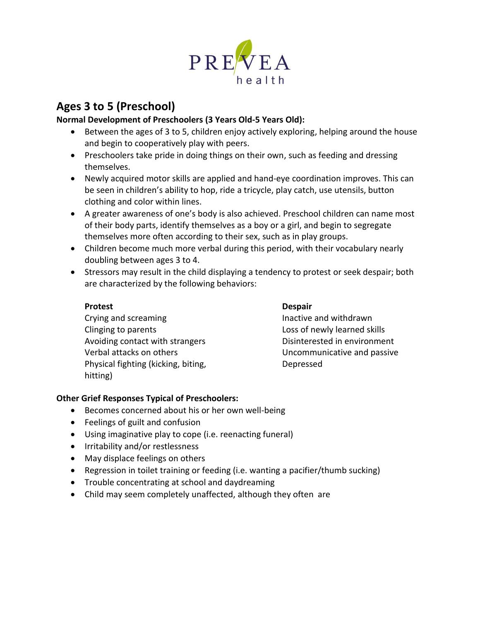

# **Ages 3 to 5 (Preschool)**

# **Normal Development of Preschoolers (3 Years Old-5 Years Old):**

- Between the ages of 3 to 5, children enjoy actively exploring, helping around the house and begin to cooperatively play with peers.
- Preschoolers take pride in doing things on their own, such as feeding and dressing themselves.
- Newly acquired motor skills are applied and hand-eye coordination improves. This can be seen in children's ability to hop, ride a tricycle, play catch, use utensils, button clothing and color within lines.
- A greater awareness of one's body is also achieved. Preschool children can name most of their body parts, identify themselves as a boy or a girl, and begin to segregate themselves more often according to their sex, such as in play groups.
- Children become much more verbal during this period, with their vocabulary nearly doubling between ages 3 to 4.
- Stressors may result in the child displaying a tendency to protest or seek despair; both are characterized by the following behaviors:

## **Protest**

Crying and screaming Clinging to parents Avoiding contact with strangers Verbal attacks on others Physical fighting (kicking, biting, hitting)

# **Despair**

Inactive and withdrawn Loss of newly learned skills Disinterested in environment Uncommunicative and passive Depressed

# **Other Grief Responses Typical of Preschoolers:**

- Becomes concerned about his or her own well-being
- Feelings of guilt and confusion
- Using imaginative play to cope (i.e. reenacting funeral)
- Irritability and/or restlessness
- May displace feelings on others
- Regression in toilet training or feeding (i.e. wanting a pacifier/thumb sucking)
- Trouble concentrating at school and daydreaming
- Child may seem completely unaffected, although they often are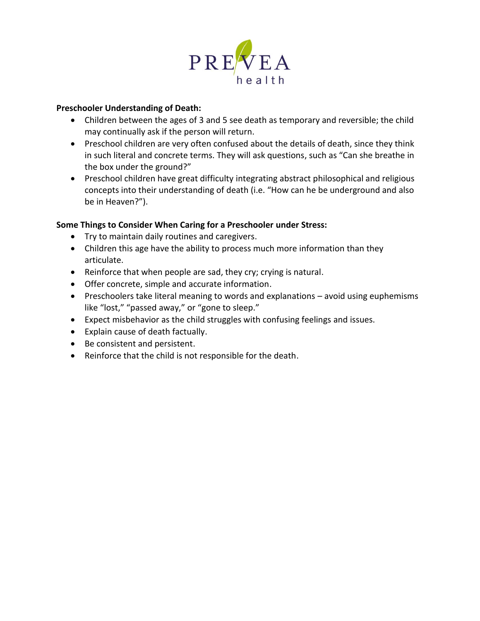

#### **Preschooler Understanding of Death:**

- Children between the ages of 3 and 5 see death as temporary and reversible; the child may continually ask if the person will return.
- Preschool children are very often confused about the details of death, since they think in such literal and concrete terms. They will ask questions, such as "Can she breathe in the box under the ground?"
- Preschool children have great difficulty integrating abstract philosophical and religious concepts into their understanding of death (i.e. "How can he be underground and also be in Heaven?").

#### **Some Things to Consider When Caring for a Preschooler under Stress:**

- Try to maintain daily routines and caregivers.
- Children this age have the ability to process much more information than they articulate.
- Reinforce that when people are sad, they cry; crying is natural.
- Offer concrete, simple and accurate information.
- Preschoolers take literal meaning to words and explanations avoid using euphemisms like "lost," "passed away," or "gone to sleep."
- Expect misbehavior as the child struggles with confusing feelings and issues.
- Explain cause of death factually.
- Be consistent and persistent.
- Reinforce that the child is not responsible for the death.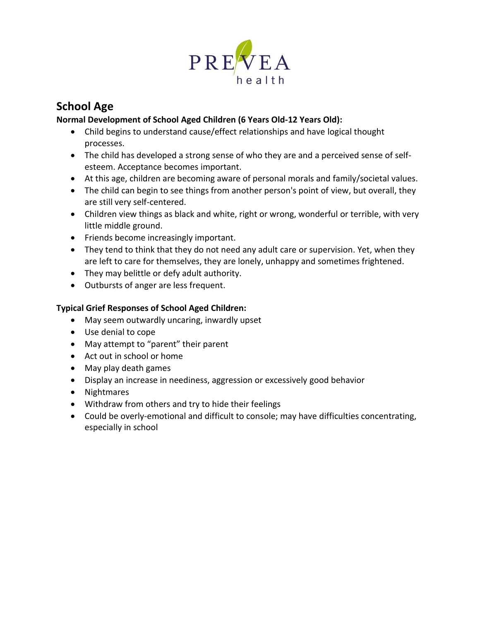

# **School Age**

# **Normal Development of School Aged Children (6 Years Old-12 Years Old):**

- Child begins to understand cause/effect relationships and have logical thought processes.
- The child has developed a strong sense of who they are and a perceived sense of selfesteem. Acceptance becomes important.
- At this age, children are becoming aware of personal morals and family/societal values.
- The child can begin to see things from another person's point of view, but overall, they are still very self-centered.
- Children view things as black and white, right or wrong, wonderful or terrible, with very little middle ground.
- Friends become increasingly important.
- They tend to think that they do not need any adult care or supervision. Yet, when they are left to care for themselves, they are lonely, unhappy and sometimes frightened.
- They may belittle or defy adult authority.
- Outbursts of anger are less frequent.

## **Typical Grief Responses of School Aged Children:**

- May seem outwardly uncaring, inwardly upset
- Use denial to cope
- May attempt to "parent" their parent
- Act out in school or home
- May play death games
- Display an increase in neediness, aggression or excessively good behavior
- Nightmares
- Withdraw from others and try to hide their feelings
- Could be overly-emotional and difficult to console; may have difficulties concentrating, especially in school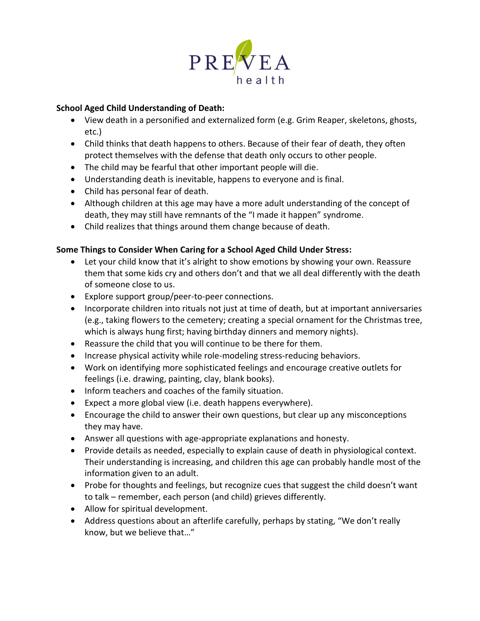

### **School Aged Child Understanding of Death:**

- View death in a personified and externalized form (e.g. Grim Reaper, skeletons, ghosts, etc.)
- Child thinks that death happens to others. Because of their fear of death, they often protect themselves with the defense that death only occurs to other people.
- The child may be fearful that other important people will die.
- Understanding death is inevitable, happens to everyone and is final.
- Child has personal fear of death.
- Although children at this age may have a more adult understanding of the concept of death, they may still have remnants of the "I made it happen" syndrome.
- Child realizes that things around them change because of death.

## **Some Things to Consider When Caring for a School Aged Child Under Stress:**

- Let your child know that it's alright to show emotions by showing your own. Reassure them that some kids cry and others don't and that we all deal differently with the death of someone close to us.
- Explore support group/peer-to-peer connections.
- Incorporate children into rituals not just at time of death, but at important anniversaries (e.g., taking flowers to the cemetery; creating a special ornament for the Christmas tree, which is always hung first; having birthday dinners and memory nights).
- Reassure the child that you will continue to be there for them.
- Increase physical activity while role-modeling stress-reducing behaviors.
- Work on identifying more sophisticated feelings and encourage creative outlets for feelings (i.e. drawing, painting, clay, blank books).
- Inform teachers and coaches of the family situation.
- Expect a more global view (i.e. death happens everywhere).
- Encourage the child to answer their own questions, but clear up any misconceptions they may have.
- Answer all questions with age-appropriate explanations and honesty.
- Provide details as needed, especially to explain cause of death in physiological context. Their understanding is increasing, and children this age can probably handle most of the information given to an adult.
- Probe for thoughts and feelings, but recognize cues that suggest the child doesn't want to talk – remember, each person (and child) grieves differently.
- Allow for spiritual development.
- Address questions about an afterlife carefully, perhaps by stating, "We don't really know, but we believe that…"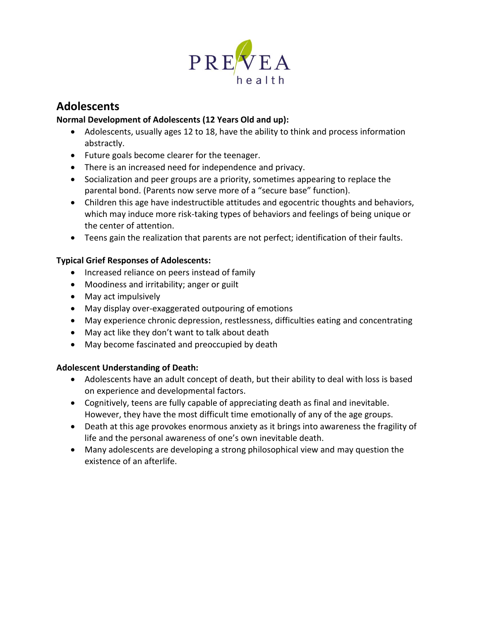

# **Adolescents**

## **Normal Development of Adolescents (12 Years Old and up):**

- Adolescents, usually ages 12 to 18, have the ability to think and process information abstractly.
- Future goals become clearer for the teenager.
- There is an increased need for independence and privacy.
- Socialization and peer groups are a priority, sometimes appearing to replace the parental bond. (Parents now serve more of a "secure base" function).
- Children this age have indestructible attitudes and egocentric thoughts and behaviors, which may induce more risk-taking types of behaviors and feelings of being unique or the center of attention.
- Teens gain the realization that parents are not perfect; identification of their faults.

## **Typical Grief Responses of Adolescents:**

- Increased reliance on peers instead of family
- Moodiness and irritability; anger or guilt
- May act impulsively
- May display over-exaggerated outpouring of emotions
- May experience chronic depression, restlessness, difficulties eating and concentrating
- May act like they don't want to talk about death
- May become fascinated and preoccupied by death

## **Adolescent Understanding of Death:**

- Adolescents have an adult concept of death, but their ability to deal with loss is based on experience and developmental factors.
- Cognitively, teens are fully capable of appreciating death as final and inevitable. However, they have the most difficult time emotionally of any of the age groups.
- Death at this age provokes enormous anxiety as it brings into awareness the fragility of life and the personal awareness of one's own inevitable death.
- Many adolescents are developing a strong philosophical view and may question the existence of an afterlife.